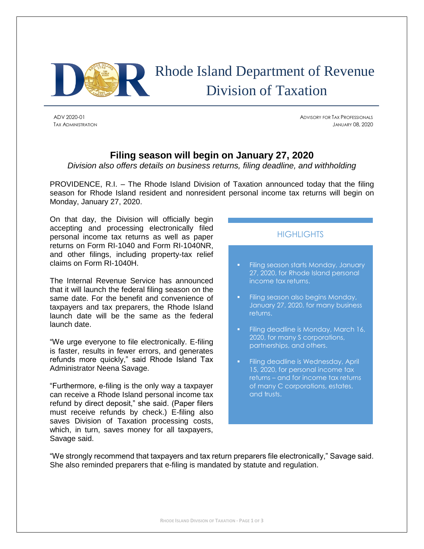

# Rhode Island Department of Revenue Division of Taxation

ADV 2020-01 ADVISORY FOR TAX PROFESSIONALS TAX ADMINISTRATION JANUARY 08, 2020

## **Filing season will begin on January 27, 2020**

*Division also offers details on business returns, filing deadline, and withholding*

PROVIDENCE, R.I. – The Rhode Island Division of Taxation announced today that the filing season for Rhode Island resident and nonresident personal income tax returns will begin on Monday, January 27, 2020.

On that day, the Division will officially begin accepting and processing electronically filed personal income tax returns as well as paper returns on Form RI-1040 and Form RI-1040NR, and other filings, including property-tax relief claims on Form RI-1040H.

The Internal Revenue Service has announced that it will launch the federal filing season on the same date. For the benefit and convenience of taxpayers and tax preparers, the Rhode Island launch date will be the same as the federal launch date.

"We urge everyone to file electronically. E-filing is faster, results in fewer errors, and generates refunds more quickly," said Rhode Island Tax Administrator Neena Savage.

"Furthermore, e-filing is the only way a taxpayer can receive a Rhode Island personal income tax refund by direct deposit," she said. (Paper filers must receive refunds by check.) E-filing also saves Division of Taxation processing costs, which, in turn, saves money for all taxpayers, Savage said.

# **HIGHLIGHTS**

- Filing season starts Monday, January 27, 2020, for Rhode Island personal income tax returns.
- Filing season also begins Monday, January 27, 2020, for many business returns.
- Filing deadline is Monday, March 16, 2020, for many S corporations, partnerships, and others.
- Filing deadline is Wednesday, April 15, 2020, for personal income tax returns – and for income tax returns of many C corporations, estates, and trusts.

"We strongly recommend that taxpayers and tax return preparers file electronically," Savage said. She also reminded preparers that e-filing is mandated by statute and regulation.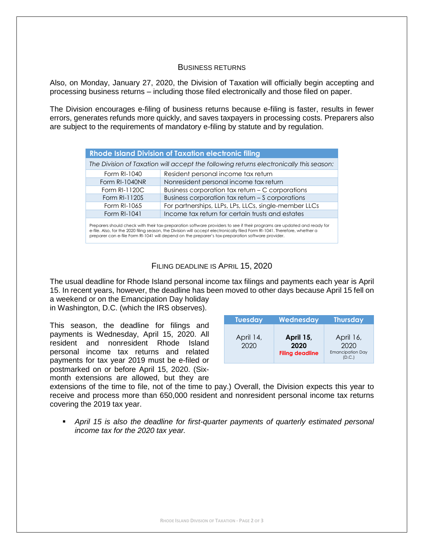#### BUSINESS RETURNS

Also, on Monday, January 27, 2020, the Division of Taxation will officially begin accepting and processing business returns – including those filed electronically and those filed on paper.

The Division encourages e-filing of business returns because e-filing is faster, results in fewer errors, generates refunds more quickly, and saves taxpayers in processing costs. Preparers also are subject to the requirements of mandatory e-filing by statute and by regulation.

| <b>Rhode Island Division of Taxation electronic filing</b>                                                                                                                                                                                            |                                                       |  |  |  |
|-------------------------------------------------------------------------------------------------------------------------------------------------------------------------------------------------------------------------------------------------------|-------------------------------------------------------|--|--|--|
| The Division of Taxation will accept the following returns electronically this season:                                                                                                                                                                |                                                       |  |  |  |
| Form RI-1040                                                                                                                                                                                                                                          | Resident personal income tax return                   |  |  |  |
| Form RI-1040NR                                                                                                                                                                                                                                        | Nonresident personal income tax return                |  |  |  |
| Form RI-1120C                                                                                                                                                                                                                                         | Business corporation tax return - C corporations      |  |  |  |
| Form RI-1120S                                                                                                                                                                                                                                         | Business corporation tax return – S corporations      |  |  |  |
| Form RI-1065                                                                                                                                                                                                                                          | For partnerships, LLPs, LPs, LLCs, single-member LLCs |  |  |  |
| Form RI-1041                                                                                                                                                                                                                                          | Income tax return for certain trusts and estates      |  |  |  |
| Preparers should check with their tax-preparation software providers to see if their programs are updated and ready for<br>e-file. Also, for the 2020 filing season, the Division will accept electronically filed Form RI-1041. Therefore, whether a |                                                       |  |  |  |

e-file. Also, for the 2020 filing season, the Division will accept electronically filed Form RI-1041. Therefore, whether a<br>preparer can e-file Form RI-1041 will depend on the preparer's tax-preparation software provider.

### FILING DEADLINE IS APRIL 15, 2020

The usual deadline for Rhode Island personal income tax filings and payments each year is April 15. In recent years, however, the deadline has been moved to other days because April 15 fell on a weekend or on the Emancipation Day holiday

in Washington, D.C. (which the IRS observes).

This season, the deadline for filings and payments is Wednesday, April 15, 2020. All resident and nonresident Rhode Island personal income tax returns and related payments for tax year 2019 must be e-filed or postmarked on or before April 15, 2020. (Sixmonth extensions are allowed, but they are

| <b>Tuesday</b>    | Wednesday                                   | <b>Thursday</b>                              |
|-------------------|---------------------------------------------|----------------------------------------------|
| April 14,<br>2020 | April 15,<br>2020<br><b>Filing deadline</b> | April 16,<br>2020<br><b>Emancipation Day</b> |

extensions of the time to file, not of the time to pay.) Overall, the Division expects this year to receive and process more than 650,000 resident and nonresident personal income tax returns covering the 2019 tax year.

**•** April 15 is also the deadline for first-quarter payments of quarterly estimated personal *income tax for the 2020 tax year.*